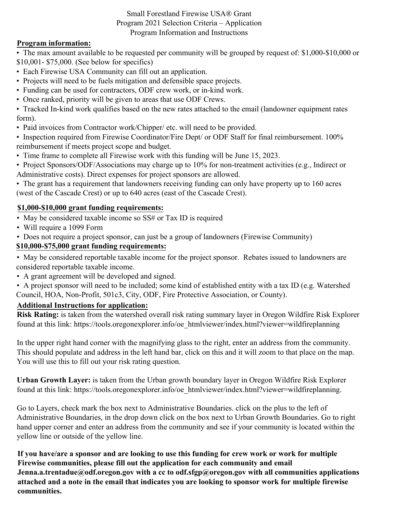### Small Forestland Firewise USA® Grant Program 2021 Selection Criteria – Application Program Information and Instructions

## **Program information:**

• The max amount available to be requested per community will be grouped by request of: \$1,000-\$10,000 or \$10,001- \$75,000. (See below for specifics)

- Each Firewise USA Community can fill out an application.
- Projects will need to be fuels mitigation and defensible space projects.
- Funding can be used for contractors, ODF crew work, or in-kind work.
- Once ranked, priority will be given to areas that use ODF Crews.
- Tracked In-kind work qualifies based on the new rates attached to the email (landowner equipment rates form).
- Paid invoices from Contractor work/Chipper/ etc. will need to be provided.

• Inspection required from Firewise Coordinator/Fire Dept/ or ODF Staff for final reimbursement. 100% reimbursement if meets project scope and budget.

- Time frame to complete all Firewise work with this funding will be June 15, 2023.
- Project Sponsors/ODF/Associations may charge up to 10% for non-treatment activities (e.g., Indirect or Administrative costs). Direct expenses for project sponsors are allowed.
- The grant has a requirement that landowners receiving funding can only have property up to 160 acres (west of the Cascade Crest) or up to 640 acres (east of the Cascade Crest).

## **\$1,000-\$10,000 grant funding requirements:**

- May be considered taxable income so SS# or Tax ID is required
- Will require a 1099 Form
- Does not require a project sponsor, can just be a group of landowners (Firewise Community)

# **\$10,000-\$75,000 grant funding requirements:**

• May be considered reportable taxable income for the project sponsor. Rebates issued to landowners are considered reportable taxable income.

• A grant agreement will be developed and signed.

• A project sponsor will need to be included; some kind of established entity with a tax ID (e.g. Watershed Council, HOA, Non-Profit, 501c3, City, ODF, Fire Protective Association, or County).

### **Additional Instructions for application:**

**Risk Rating:** is taken from the watershed overall risk rating summary layer in Oregon Wildfire Risk Explorer found at this link: https://tools.oregonexplorer.info/oe\_htmlviewer/index.html?viewer=wildfireplanning

In the upper right hand corner with the magnifying glass to the right, enter an address from the community. This should populate and address in the left hand bar, click on this and it will zoom to that place on the map. You will use this to fill out your risk rating question.

**Urban Growth Layer:** is taken from the Urban growth boundary layer in Oregon Wildfire Risk Explorer found at this link: https://tools.oregonexplorer.info/oe\_htmlviewer/index.html?viewer=wildfireplanning.

Go to Layers, check mark the box next to Administrative Boundaries. click on the plus to the left of Administrative Boundaries, in the drop down click on the box next to Urban Growth Boundaries. Go to right hand upper corner and enter an address from the community and see if your community is located within the yellow line or outside of the yellow line.

**If you have/are a sponsor and are looking to use this funding for crew work or work for multiple Firewise communities, please fill out the application for each community and email**  Jenna.a.trentadue@odf.oregon.gov with a cc to odf.sfgp@oregon.gov with all communities applications **attached and a note in the email that indicates you are looking to sponsor work for multiple firewise communities.**